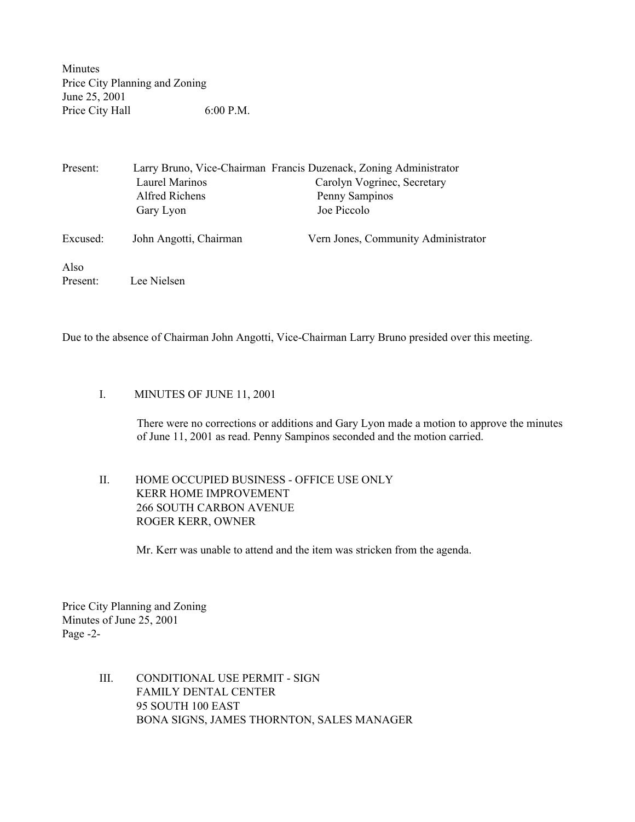Minutes Price City Planning and Zoning June 25, 2001 Price City Hall 6:00 P.M.

| Present: |                        | Larry Bruno, Vice-Chairman Francis Duzenack, Zoning Administrator |
|----------|------------------------|-------------------------------------------------------------------|
|          | Laurel Marinos         | Carolyn Vogrinec, Secretary                                       |
|          | Alfred Richens         | Penny Sampinos                                                    |
|          | Gary Lyon              | Joe Piccolo                                                       |
| Excused: | John Angotti, Chairman | Vern Jones, Community Administrator                               |
| Also     |                        |                                                                   |
| Present: | Lee Nielsen            |                                                                   |

Due to the absence of Chairman John Angotti, Vice-Chairman Larry Bruno presided over this meeting.

## I. MINUTES OF JUNE 11, 2001

There were no corrections or additions and Gary Lyon made a motion to approve the minutes of June 11, 2001 as read. Penny Sampinos seconded and the motion carried.

## II. HOME OCCUPIED BUSINESS - OFFICE USE ONLY KERR HOME IMPROVEMENT 266 SOUTH CARBON AVENUE ROGER KERR, OWNER

Mr. Kerr was unable to attend and the item was stricken from the agenda.

Price City Planning and Zoning Minutes of June 25, 2001 Page -2-

> III. CONDITIONAL USE PERMIT - SIGN FAMILY DENTAL CENTER 95 SOUTH 100 EAST BONA SIGNS, JAMES THORNTON, SALES MANAGER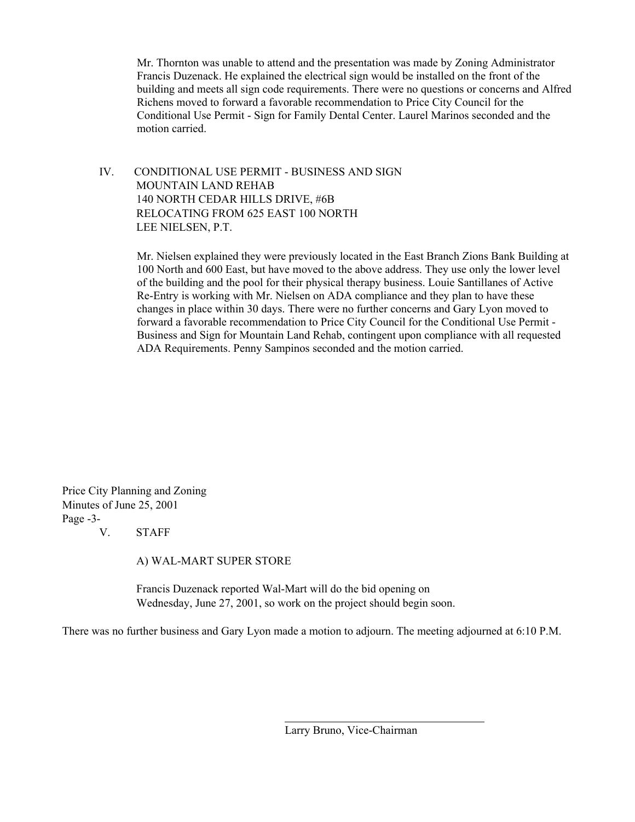Mr. Thornton was unable to attend and the presentation was made by Zoning Administrator Francis Duzenack. He explained the electrical sign would be installed on the front of the building and meets all sign code requirements. There were no questions or concerns and Alfred Richens moved to forward a favorable recommendation to Price City Council for the Conditional Use Permit - Sign for Family Dental Center. Laurel Marinos seconded and the motion carried.

## IV. CONDITIONAL USE PERMIT - BUSINESS AND SIGN MOUNTAIN LAND REHAB 140 NORTH CEDAR HILLS DRIVE, #6B RELOCATING FROM 625 EAST 100 NORTH LEE NIELSEN, P.T.

Mr. Nielsen explained they were previously located in the East Branch Zions Bank Building at 100 North and 600 East, but have moved to the above address. They use only the lower level of the building and the pool for their physical therapy business. Louie Santillanes of Active Re-Entry is working with Mr. Nielsen on ADA compliance and they plan to have these changes in place within 30 days. There were no further concerns and Gary Lyon moved to forward a favorable recommendation to Price City Council for the Conditional Use Permit - Business and Sign for Mountain Land Rehab, contingent upon compliance with all requested ADA Requirements. Penny Sampinos seconded and the motion carried.

Price City Planning and Zoning Minutes of June 25, 2001 Page -3-

V. STAFF

A) WAL-MART SUPER STORE

 Francis Duzenack reported Wal-Mart will do the bid opening on Wednesday, June 27, 2001, so work on the project should begin soon.

There was no further business and Gary Lyon made a motion to adjourn. The meeting adjourned at 6:10 P.M.

Larry Bruno, Vice-Chairman